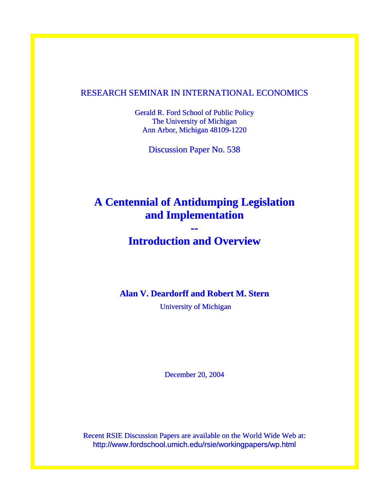### RESEARCH SEMINAR IN INTERNATIONAL ECONOMICS

Gerald R. Ford School of Public Policy The University of Michigan Ann Arbor, Michigan 48109-1220

Discussion Paper No. 538

# **A Centennial of Antidumping Legislation and Implementation**

## **Introduction and Overview**

**--** 

## **Alan V. Deardorff and Robert M. Stern**

University of Michigan

December 20, 2004

Recent RSIE Discussion Papers are available on the World Wide Web at: http://www.fordschool.umich.edu/rsie/workingpapers/wp.html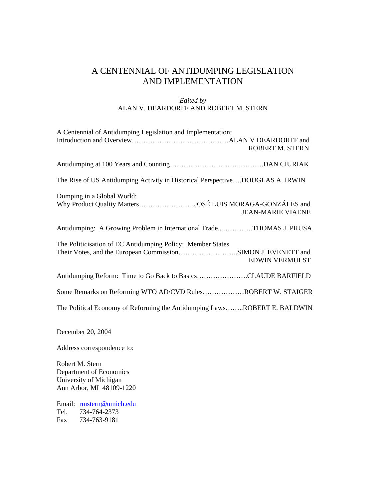## A CENTENNIAL OF ANTIDUMPING LEGISLATION AND IMPLEMENTATION

#### *Edited by*  ALAN V. DEARDORFF AND ROBERT M. STERN

| A Centennial of Antidumping Legislation and Implementation:<br><b>ROBERT M. STERN</b>                                                               |
|-----------------------------------------------------------------------------------------------------------------------------------------------------|
|                                                                                                                                                     |
| The Rise of US Antidumping Activity in Historical PerspectiveDOUGLAS A. IRWIN                                                                       |
| Dumping in a Global World:<br>Why Product Quality MattersJOSÉ LUIS MORAGA-GONZÁLES and<br><b>JEAN-MARIE VIAENE</b>                                  |
| Antidumping: A Growing Problem in International TradeTHOMAS J. PRUSA                                                                                |
| The Politicisation of EC Antidumping Policy: Member States<br>Their Votes, and the European CommissionSIMON J. EVENETT and<br><b>EDWIN VERMULST</b> |
| Antidumping Reform: Time to Go Back to BasicsCLAUDE BARFIELD                                                                                        |
| Some Remarks on Reforming WTO AD/CVD RulesROBERT W. STAIGER                                                                                         |
| The Political Economy of Reforming the Antidumping LawsROBERT E. BALDWIN                                                                            |

December 20, 2004

Address correspondence to:

Robert M. Stern Department of Economics University of Michigan Ann Arbor, MI 48109-1220

Email: mstern@umich.edu Tel. 734-764-2373 Fax 734-763-9181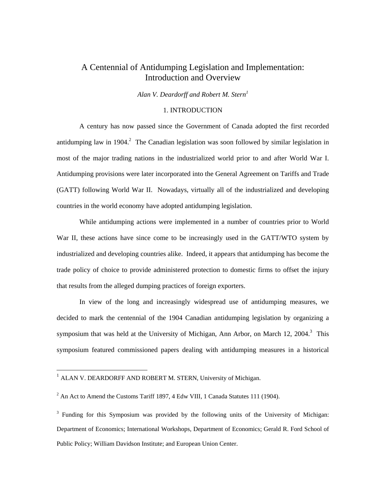## A Centennial of Antidumping Legislation and Implementation: Introduction and Overview

*Alan V. Deardorff and Robert M. Stern[1](#page-2-0)*

#### 1. INTRODUCTION

 A century has now passed since the Government of Canada adopted the first recorded antidumping law in 1904.<sup>[2](#page-2-1)</sup> The Canadian legislation was soon followed by similar legislation in most of the major trading nations in the industrialized world prior to and after World War I. Antidumping provisions were later incorporated into the General Agreement on Tariffs and Trade (GATT) following World War II. Nowadays, virtually all of the industrialized and developing countries in the world economy have adopted antidumping legislation.

 While antidumping actions were implemented in a number of countries prior to World War II, these actions have since come to be increasingly used in the GATT/WTO system by industrialized and developing countries alike. Indeed, it appears that antidumping has become the trade policy of choice to provide administered protection to domestic firms to offset the injury that results from the alleged dumping practices of foreign exporters.

 In view of the long and increasingly widespread use of antidumping measures, we decided to mark the centennial of the 1904 Canadian antidumping legislation by organizing a symposium that was held at the University of Michigan, Ann Arbor, on March 12, 2004.<sup>[3](#page-2-2)</sup> This symposium featured commissioned papers dealing with antidumping measures in a historical

 $\overline{a}$ 

<span id="page-2-0"></span><sup>&</sup>lt;sup>1</sup> ALAN V. DEARDORFF AND ROBERT M. STERN, University of Michigan.

<span id="page-2-1"></span> $2^{2}$  An Act to Amend the Customs Tariff 1897, 4 Edw VIII, 1 Canada Statutes 111 (1904).

<span id="page-2-2"></span> $3$  Funding for this Symposium was provided by the following units of the University of Michigan: Department of Economics; International Workshops, Department of Economics; Gerald R. Ford School of Public Policy; William Davidson Institute; and European Union Center.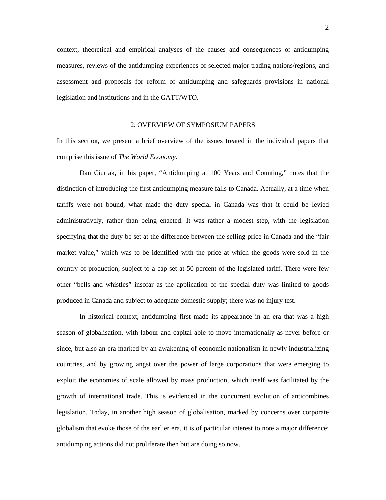context, theoretical and empirical analyses of the causes and consequences of antidumping measures, reviews of the antidumping experiences of selected major trading nations/regions, and assessment and proposals for reform of antidumping and safeguards provisions in national legislation and institutions and in the GATT/WTO.

#### 2. OVERVIEW OF SYMPOSIUM PAPERS

In this section, we present a brief overview of the issues treated in the individual papers that comprise this issue of *The World Economy.* 

Dan Ciuriak, in his paper, "Antidumping at 100 Years and Counting," notes that the distinction of introducing the first antidumping measure falls to Canada. Actually, at a time when tariffs were not bound, what made the duty special in Canada was that it could be levied administratively, rather than being enacted. It was rather a modest step, with the legislation specifying that the duty be set at the difference between the selling price in Canada and the "fair market value," which was to be identified with the price at which the goods were sold in the country of production, subject to a cap set at 50 percent of the legislated tariff. There were few other "bells and whistles" insofar as the application of the special duty was limited to goods produced in Canada and subject to adequate domestic supply; there was no injury test.

In historical context, antidumping first made its appearance in an era that was a high season of globalisation, with labour and capital able to move internationally as never before or since, but also an era marked by an awakening of economic nationalism in newly industrializing countries, and by growing angst over the power of large corporations that were emerging to exploit the economies of scale allowed by mass production, which itself was facilitated by the growth of international trade. This is evidenced in the concurrent evolution of anticombines legislation. Today, in another high season of globalisation, marked by concerns over corporate globalism that evoke those of the earlier era, it is of particular interest to note a major difference: antidumping actions did not proliferate then but are doing so now.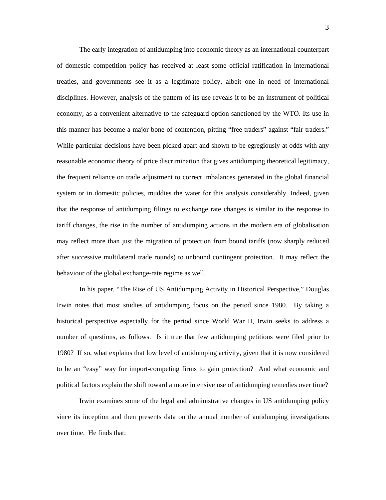The early integration of antidumping into economic theory as an international counterpart of domestic competition policy has received at least some official ratification in international treaties, and governments see it as a legitimate policy, albeit one in need of international disciplines. However, analysis of the pattern of its use reveals it to be an instrument of political economy, as a convenient alternative to the safeguard option sanctioned by the WTO. Its use in this manner has become a major bone of contention, pitting "free traders" against "fair traders." While particular decisions have been picked apart and shown to be egregiously at odds with any reasonable economic theory of price discrimination that gives antidumping theoretical legitimacy, the frequent reliance on trade adjustment to correct imbalances generated in the global financial system or in domestic policies, muddies the water for this analysis considerably. Indeed, given that the response of antidumping filings to exchange rate changes is similar to the response to tariff changes, the rise in the number of antidumping actions in the modern era of globalisation may reflect more than just the migration of protection from bound tariffs (now sharply reduced after successive multilateral trade rounds) to unbound contingent protection. It may reflect the behaviour of the global exchange-rate regime as well.

In his paper, "The Rise of US Antidumping Activity in Historical Perspective," Douglas Irwin notes that most studies of antidumping focus on the period since 1980. By taking a historical perspective especially for the period since World War II, Irwin seeks to address a number of questions, as follows. Is it true that few antidumping petitions were filed prior to 1980? If so, what explains that low level of antidumping activity, given that it is now considered to be an "easy" way for import-competing firms to gain protection? And what economic and political factors explain the shift toward a more intensive use of antidumping remedies over time?

Irwin examines some of the legal and administrative changes in US antidumping policy since its inception and then presents data on the annual number of antidumping investigations over time. He finds that: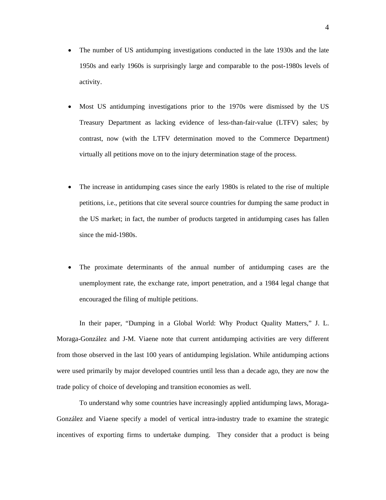- The number of US antidumping investigations conducted in the late 1930s and the late 1950s and early 1960s is surprisingly large and comparable to the post-1980s levels of activity.
- Most US antidumping investigations prior to the 1970s were dismissed by the US Treasury Department as lacking evidence of less-than-fair-value (LTFV) sales; by contrast, now (with the LTFV determination moved to the Commerce Department) virtually all petitions move on to the injury determination stage of the process.
- The increase in antidumping cases since the early 1980s is related to the rise of multiple petitions, i.e., petitions that cite several source countries for dumping the same product in the US market; in fact, the number of products targeted in antidumping cases has fallen since the mid-1980s.
- The proximate determinants of the annual number of antidumping cases are the unemployment rate, the exchange rate, import penetration, and a 1984 legal change that encouraged the filing of multiple petitions.

In their paper, "Dumping in a Global World: Why Product Quality Matters," J. L. Moraga-González and J-M. Viaene note that current antidumping activities are very different from those observed in the last 100 years of antidumping legislation. While antidumping actions were used primarily by major developed countries until less than a decade ago, they are now the trade policy of choice of developing and transition economies as well.

To understand why some countries have increasingly applied antidumping laws, Moraga-González and Viaene specify a model of vertical intra-industry trade to examine the strategic incentives of exporting firms to undertake dumping. They consider that a product is being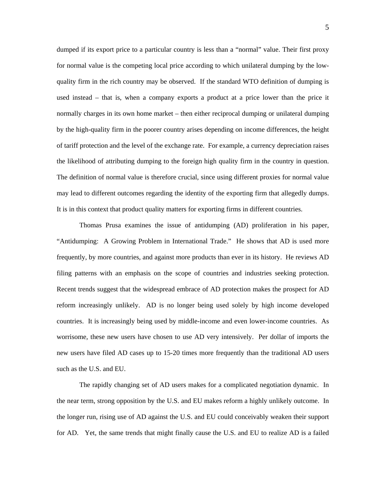dumped if its export price to a particular country is less than a "normal" value. Their first proxy for normal value is the competing local price according to which unilateral dumping by the lowquality firm in the rich country may be observed. If the standard WTO definition of dumping is used instead – that is, when a company exports a product at a price lower than the price it normally charges in its own home market – then either reciprocal dumping or unilateral dumping by the high-quality firm in the poorer country arises depending on income differences, the height of tariff protection and the level of the exchange rate. For example, a currency depreciation raises the likelihood of attributing dumping to the foreign high quality firm in the country in question. The definition of normal value is therefore crucial, since using different proxies for normal value may lead to different outcomes regarding the identity of the exporting firm that allegedly dumps. It is in this context that product quality matters for exporting firms in different countries.

Thomas Prusa examines the issue of antidumping (AD) proliferation in his paper, "Antidumping: A Growing Problem in International Trade." He shows that AD is used more frequently, by more countries, and against more products than ever in its history. He reviews AD filing patterns with an emphasis on the scope of countries and industries seeking protection. Recent trends suggest that the widespread embrace of AD protection makes the prospect for AD reform increasingly unlikely. AD is no longer being used solely by high income developed countries. It is increasingly being used by middle-income and even lower-income countries. As worrisome, these new users have chosen to use AD very intensively. Per dollar of imports the new users have filed AD cases up to 15-20 times more frequently than the traditional AD users such as the U.S. and EU.

The rapidly changing set of AD users makes for a complicated negotiation dynamic. In the near term, strong opposition by the U.S. and EU makes reform a highly unlikely outcome. In the longer run, rising use of AD against the U.S. and EU could conceivably weaken their support for AD. Yet, the same trends that might finally cause the U.S. and EU to realize AD is a failed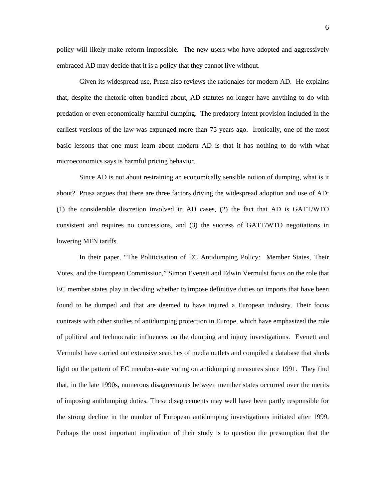policy will likely make reform impossible. The new users who have adopted and aggressively embraced AD may decide that it is a policy that they cannot live without.

Given its widespread use, Prusa also reviews the rationales for modern AD. He explains that, despite the rhetoric often bandied about, AD statutes no longer have anything to do with predation or even economically harmful dumping. The predatory-intent provision included in the earliest versions of the law was expunged more than 75 years ago. Ironically, one of the most basic lessons that one must learn about modern AD is that it has nothing to do with what microeconomics says is harmful pricing behavior.

Since AD is not about restraining an economically sensible notion of dumping, what is it about? Prusa argues that there are three factors driving the widespread adoption and use of AD: (1) the considerable discretion involved in AD cases, (2) the fact that AD is GATT/WTO consistent and requires no concessions, and (3) the success of GATT/WTO negotiations in lowering MFN tariffs.

In their paper, "The Politicisation of EC Antidumping Policy: Member States, Their Votes, and the European Commission," Simon Evenett and Edwin Vermulst focus on the role that EC member states play in deciding whether to impose definitive duties on imports that have been found to be dumped and that are deemed to have injured a European industry. Their focus contrasts with other studies of antidumping protection in Europe, which have emphasized the role of political and technocratic influences on the dumping and injury investigations. Evenett and Vermulst have carried out extensive searches of media outlets and compiled a database that sheds light on the pattern of EC member-state voting on antidumping measures since 1991. They find that, in the late 1990s, numerous disagreements between member states occurred over the merits of imposing antidumping duties. These disagreements may well have been partly responsible for the strong decline in the number of European antidumping investigations initiated after 1999. Perhaps the most important implication of their study is to question the presumption that the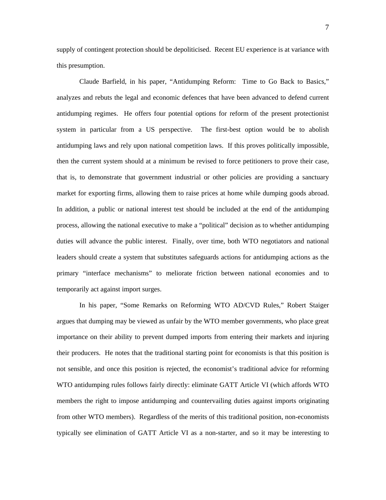supply of contingent protection should be depoliticised. Recent EU experience is at variance with this presumption.

Claude Barfield, in his paper, "Antidumping Reform: Time to Go Back to Basics," analyzes and rebuts the legal and economic defences that have been advanced to defend current antidumping regimes. He offers four potential options for reform of the present protectionist system in particular from a US perspective. The first-best option would be to abolish antidumping laws and rely upon national competition laws. If this proves politically impossible, then the current system should at a minimum be revised to force petitioners to prove their case, that is, to demonstrate that government industrial or other policies are providing a sanctuary market for exporting firms, allowing them to raise prices at home while dumping goods abroad. In addition, a public or national interest test should be included at the end of the antidumping process, allowing the national executive to make a "political" decision as to whether antidumping duties will advance the public interest. Finally, over time, both WTO negotiators and national leaders should create a system that substitutes safeguards actions for antidumping actions as the primary "interface mechanisms" to meliorate friction between national economies and to temporarily act against import surges.

In his paper, "Some Remarks on Reforming WTO AD/CVD Rules," Robert Staiger argues that dumping may be viewed as unfair by the WTO member governments, who place great importance on their ability to prevent dumped imports from entering their markets and injuring their producers. He notes that the traditional starting point for economists is that this position is not sensible, and once this position is rejected, the economist's traditional advice for reforming WTO antidumping rules follows fairly directly: eliminate GATT Article VI (which affords WTO members the right to impose antidumping and countervailing duties against imports originating from other WTO members). Regardless of the merits of this traditional position, non-economists typically see elimination of GATT Article VI as a non-starter, and so it may be interesting to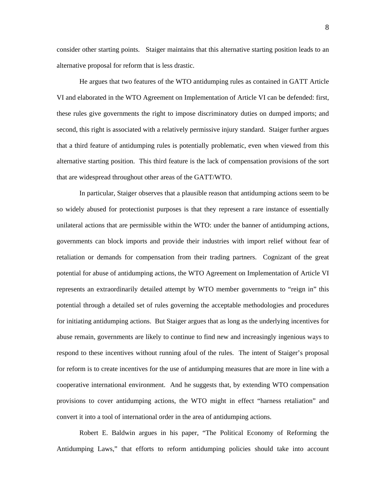consider other starting points. Staiger maintains that this alternative starting position leads to an alternative proposal for reform that is less drastic.

He argues that two features of the WTO antidumping rules as contained in GATT Article VI and elaborated in the WTO Agreement on Implementation of Article VI can be defended: first, these rules give governments the right to impose discriminatory duties on dumped imports; and second, this right is associated with a relatively permissive injury standard. Staiger further argues that a third feature of antidumping rules is potentially problematic, even when viewed from this alternative starting position. This third feature is the lack of compensation provisions of the sort that are widespread throughout other areas of the GATT/WTO.

In particular, Staiger observes that a plausible reason that antidumping actions seem to be so widely abused for protectionist purposes is that they represent a rare instance of essentially unilateral actions that are permissible within the WTO: under the banner of antidumping actions, governments can block imports and provide their industries with import relief without fear of retaliation or demands for compensation from their trading partners. Cognizant of the great potential for abuse of antidumping actions, the WTO Agreement on Implementation of Article VI represents an extraordinarily detailed attempt by WTO member governments to "reign in" this potential through a detailed set of rules governing the acceptable methodologies and procedures for initiating antidumping actions. But Staiger argues that as long as the underlying incentives for abuse remain, governments are likely to continue to find new and increasingly ingenious ways to respond to these incentives without running afoul of the rules. The intent of Staiger's proposal for reform is to create incentives for the use of antidumping measures that are more in line with a cooperative international environment. And he suggests that, by extending WTO compensation provisions to cover antidumping actions, the WTO might in effect "harness retaliation" and convert it into a tool of international order in the area of antidumping actions.

Robert E. Baldwin argues in his paper, "The Political Economy of Reforming the Antidumping Laws," that efforts to reform antidumping policies should take into account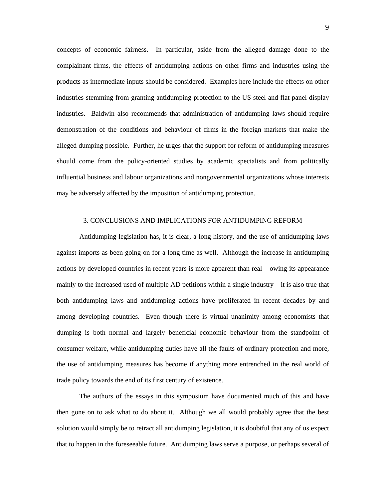concepts of economic fairness. In particular, aside from the alleged damage done to the complainant firms, the effects of antidumping actions on other firms and industries using the products as intermediate inputs should be considered. Examples here include the effects on other industries stemming from granting antidumping protection to the US steel and flat panel display industries. Baldwin also recommends that administration of antidumping laws should require demonstration of the conditions and behaviour of firms in the foreign markets that make the alleged dumping possible. Further, he urges that the support for reform of antidumping measures should come from the policy-oriented studies by academic specialists and from politically influential business and labour organizations and nongovernmental organizations whose interests may be adversely affected by the imposition of antidumping protection.

#### 3. CONCLUSIONS AND IMPLICATIONS FOR ANTIDUMPING REFORM

Antidumping legislation has, it is clear, a long history, and the use of antidumping laws against imports as been going on for a long time as well. Although the increase in antidumping actions by developed countries in recent years is more apparent than real – owing its appearance mainly to the increased used of multiple AD petitions within a single industry – it is also true that both antidumping laws and antidumping actions have proliferated in recent decades by and among developing countries. Even though there is virtual unanimity among economists that dumping is both normal and largely beneficial economic behaviour from the standpoint of consumer welfare, while antidumping duties have all the faults of ordinary protection and more, the use of antidumping measures has become if anything more entrenched in the real world of trade policy towards the end of its first century of existence.

The authors of the essays in this symposium have documented much of this and have then gone on to ask what to do about it. Although we all would probably agree that the best solution would simply be to retract all antidumping legislation, it is doubtful that any of us expect that to happen in the foreseeable future. Antidumping laws serve a purpose, or perhaps several of